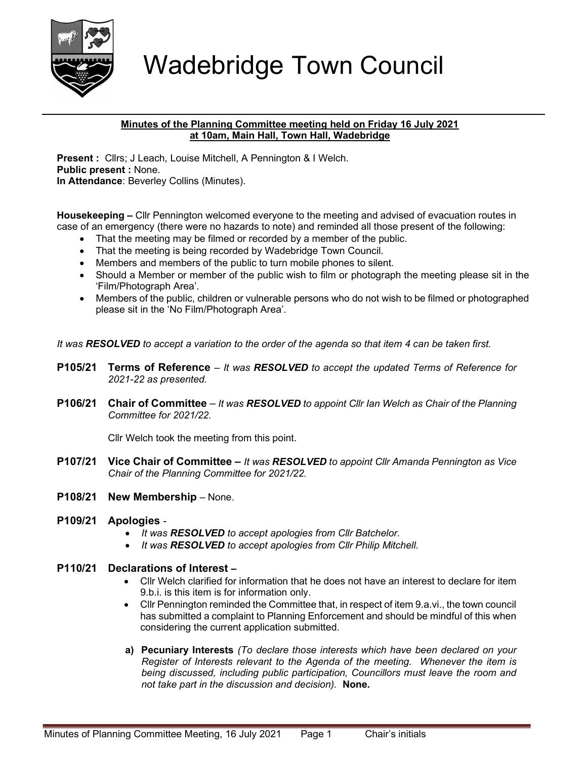

## Wadebridge Town Council

## Minutes of the Planning Committee meeting held on Friday 16 July 2021 at 10am, Main Hall, Town Hall, Wadebridge

Present : Cllrs; J Leach, Louise Mitchell, A Pennington & I Welch. Public present : None. In Attendance: Beverley Collins (Minutes).

Housekeeping – Cllr Pennington welcomed everyone to the meeting and advised of evacuation routes in case of an emergency (there were no hazards to note) and reminded all those present of the following:

- That the meeting may be filmed or recorded by a member of the public.
- That the meeting is being recorded by Wadebridge Town Council.
- Members and members of the public to turn mobile phones to silent.
- Should a Member or member of the public wish to film or photograph the meeting please sit in the 'Film/Photograph Area'.
- Members of the public, children or vulnerable persons who do not wish to be filmed or photographed please sit in the 'No Film/Photograph Area'.

It was RESOLVED to accept a variation to the order of the agenda so that item 4 can be taken first.

- **P105/21 Terms of Reference** It was RESOLVED to accept the updated Terms of Reference for 2021-22 as presented.
- **P106/21 Chair of Committee** It was RESOLVED to appoint Cllr Ian Welch as Chair of the Planning Committee for 2021/22.

Cllr Welch took the meeting from this point.

- **P107/21 Vice Chair of Committee It was RESOLVED to appoint Cllr Amanda Pennington as Vice** Chair of the Planning Committee for 2021/22.
- P108/21 New Membership None.
- P109/21 Apologies
	- It was RESOLVED to accept apologies from Cllr Batchelor.
	- It was RESOLVED to accept apologies from Cllr Philip Mitchell.

## P110/21 Declarations of Interest –

- Cllr Welch clarified for information that he does not have an interest to declare for item 9.b.i. is this item is for information only.
- Cllr Pennington reminded the Committee that, in respect of item 9.a.vi., the town council has submitted a complaint to Planning Enforcement and should be mindful of this when considering the current application submitted.
- a) Pecuniary Interests (To declare those interests which have been declared on your Register of Interests relevant to the Agenda of the meeting. Whenever the item is being discussed, including public participation, Councillors must leave the room and not take part in the discussion and decision). None.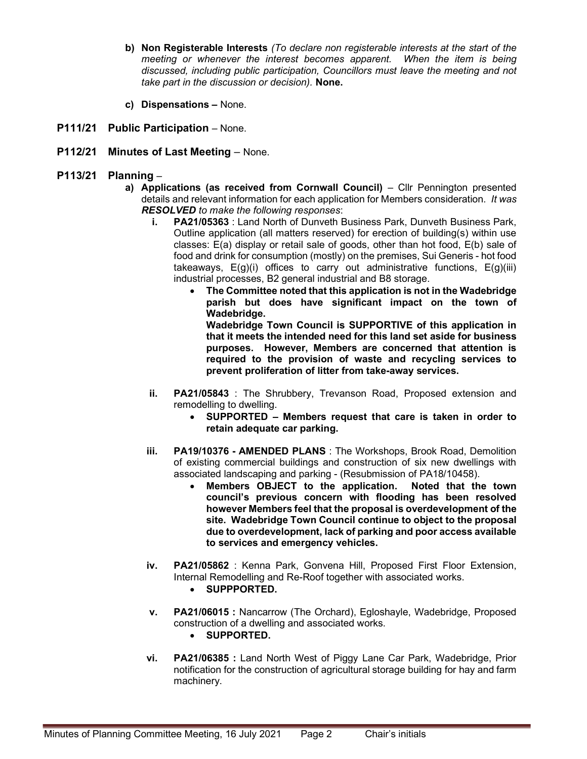- b) Non Registerable Interests (To declare non registerable interests at the start of the meeting or whenever the interest becomes apparent. When the item is being discussed, including public participation, Councillors must leave the meeting and not take part in the discussion or decision). None.
- c) Dispensations None.
- P111/21 Public Participation None.
- P112/21 Minutes of Last Meeting None.
- P113/21 Planning  $$ 
	- a) Applications (as received from Cornwall Council) Cllr Pennington presented details and relevant information for each application for Members consideration. It was RESOLVED to make the following responses:
		- i. PA21/05363 : Land North of Dunveth Business Park, Dunveth Business Park, Outline application (all matters reserved) for erection of building(s) within use classes: E(a) display or retail sale of goods, other than hot food, E(b) sale of food and drink for consumption (mostly) on the premises, Sui Generis - hot food takeaways,  $E(g)(i)$  offices to carry out administrative functions,  $E(g)(iii)$ industrial processes, B2 general industrial and B8 storage.
			- The Committee noted that this application is not in the Wadebridge parish but does have significant impact on the town of Wadebridge. Wadebridge Town Council is SUPPORTIVE of this application in

that it meets the intended need for this land set aside for business purposes. However, Members are concerned that attention is required to the provision of waste and recycling services to prevent proliferation of litter from take-away services.

- ii. **PA21/05843** : The Shrubbery, Trevanson Road, Proposed extension and remodelling to dwelling.
	- SUPPORTED Members request that care is taken in order to retain adequate car parking.
- iii. PA19/10376 AMENDED PLANS : The Workshops, Brook Road, Demolition of existing commercial buildings and construction of six new dwellings with associated landscaping and parking - (Resubmission of PA18/10458).
	- Members OBJECT to the application. Noted that the town council's previous concern with flooding has been resolved however Members feel that the proposal is overdevelopment of the site. Wadebridge Town Council continue to object to the proposal due to overdevelopment, lack of parking and poor access available to services and emergency vehicles.
- iv. PA21/05862 : Kenna Park, Gonvena Hill, Proposed First Floor Extension, Internal Remodelling and Re-Roof together with associated works.
	- SUPPPORTED.
- v. PA21/06015 : Nancarrow (The Orchard), Egloshayle, Wadebridge, Proposed construction of a dwelling and associated works.
	- SUPPORTED.
- vi. PA21/06385 : Land North West of Piggy Lane Car Park, Wadebridge, Prior notification for the construction of agricultural storage building for hay and farm machinery.